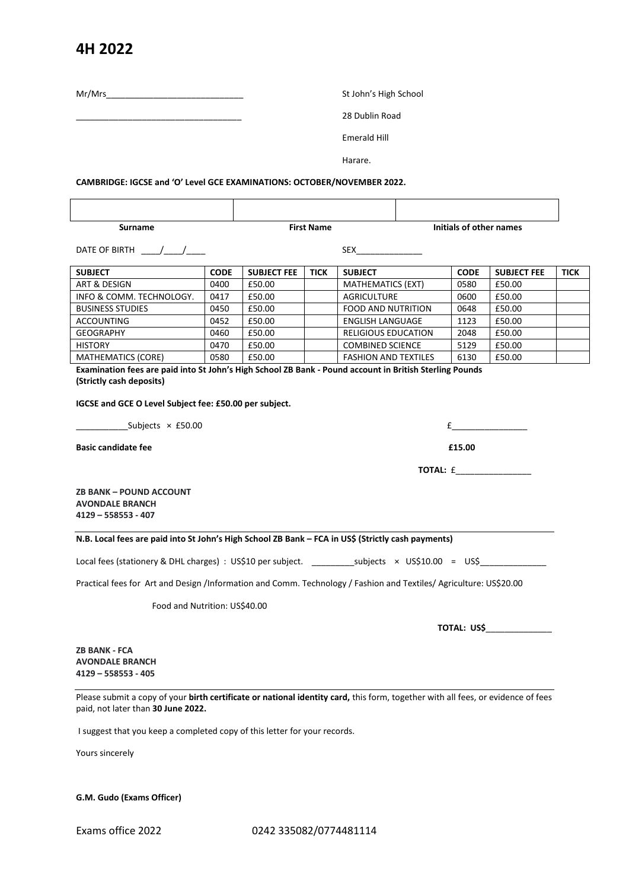## **4H 2022**

Mr/Mrs<br>St John's High School

\_\_\_\_\_\_\_\_\_\_\_\_\_\_\_\_\_\_\_\_\_\_\_\_\_\_\_\_\_\_\_\_\_\_\_ 28 Dublin Road

Emerald Hill

Harare.

**CAMBRIDGE: IGCSE and 'O' Level GCE EXAMINATIONS: OCTOBER/NOVEMBER 2022.**

 **Surname First Name Initials of other names**

DATE OF BIRTH  $\frac{1}{\sqrt{1-\frac{1}{2}}}$ 

| <b>SUBJECT</b>           | <b>CODE</b> | <b>SUBJECT FEE</b> | <b>TICK</b> | <b>SUBJECT</b>              | <b>CODE</b> | <b>SUBJECT FEE</b> | <b>TICK</b> |
|--------------------------|-------------|--------------------|-------------|-----------------------------|-------------|--------------------|-------------|
| ART & DESIGN             | 0400        | £50.00             |             | <b>MATHEMATICS (EXT)</b>    | 0580        | £50.00             |             |
| INFO & COMM. TECHNOLOGY. | 0417        | £50.00             |             | AGRICULTURE                 | 0600        | £50.00             |             |
| <b>BUSINESS STUDIES</b>  | 0450        | £50.00             |             | <b>FOOD AND NUTRITION</b>   | 0648        | £50.00             |             |
| <b>ACCOUNTING</b>        | 0452        | £50.00             |             | <b>ENGLISH LANGUAGE</b>     | 1123        | £50.00             |             |
| <b>GEOGRAPHY</b>         | 0460        | £50.00             |             | RELIGIOUS EDUCATION         | 2048        | £50.00             |             |
| <b>HISTORY</b>           | 0470        | £50.00             |             | <b>COMBINED SCIENCE</b>     | 5129        | £50.00             |             |
| MATHEMATICS (CORE)       | 0580        | £50.00             |             | <b>FASHION AND TEXTILES</b> | 6130        | £50.00             |             |

**Examination fees are paid into St John's High School ZB Bank - Pound account in British Sterling Pounds (Strictly cash deposits)**

**IGCSE and GCE O Level Subject fee: £50.00 per subject.**

Subjects  $\times$  £50.00  $\times$ 

**Basic candidate fee <b>£15.00 Example 15.00** 

**TOTAL:** £\_\_\_\_\_\_\_\_\_\_\_\_\_\_\_\_

**ZB BANK – POUND ACCOUNT AVONDALE BRANCH 4129 – 558553 - 407**

**N.B. Local fees are paid into St John's High School ZB Bank – FCA in US\$ (Strictly cash payments)**

Local fees (stationery & DHL charges) : US\$10 per subject. \_\_\_\_\_\_\_\_\_\_\_subjects × US\$10.00 = US\$\_\_\_

Practical fees for Art and Design /Information and Comm. Technology / Fashion and Textiles/ Agriculture: US\$20.00

Food and Nutrition: US\$40.00

 **TOTAL: US\$**\_\_\_\_\_\_\_\_\_\_\_\_\_\_

**ZB BANK - FCA AVONDALE BRANCH 4129 – 558553 - 405**

Please submit a copy of your **birth certificate or national identity card,** this form, together with all fees, or evidence of fees paid, not later than **30 June 2022.**

I suggest that you keep a completed copy of this letter for your records.

Yours sincerely

**G.M. Gudo (Exams Officer)**